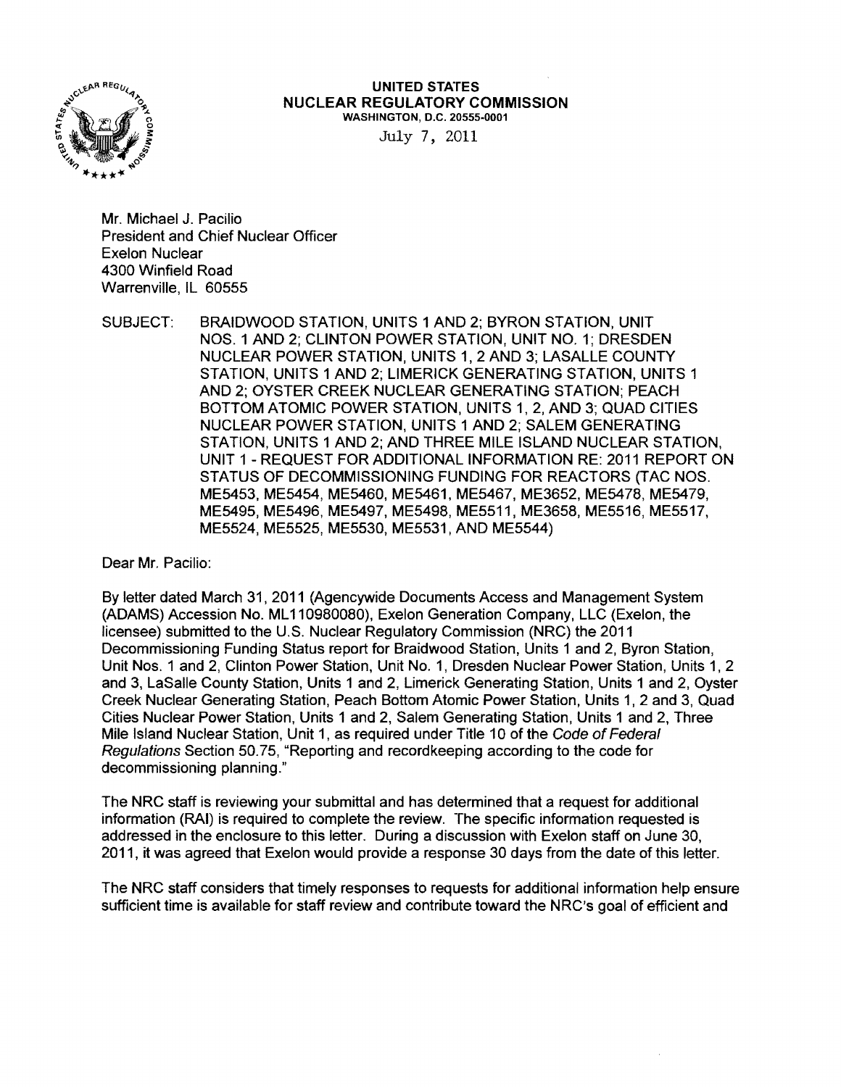

UNITED STATES NUCLEAR REGULATORY COMMISSION WASHINGTON, D.C. 20555·0001

July 7, 2011

Mr. Michael J. Pacilio President and Chief Nuclear Officer Exelon Nuclear 4300 Winfield Road Warrenville, IL 60555

SUBJECT: BRAIDWOOD STATION, UNITS 1 AND 2; BYRON STATION, UNIT NOS. 1 AND 2; CLINTON POWER STATION, UNIT NO.1; DRESDEN NUCLEAR POWER STATION, UNITS 1, 2 AND 3; LASALLE COUNTY STATION, UNITS 1 AND 2; LIMERICK GENERATING STATION, UNITS 1 AND 2; OYSTER CREEK NUCLEAR GENERATING STATION; PEACH BOTTOM ATOMIC POWER STATION, UNITS 1, 2, AND 3; QUAD CITIES NUCLEAR POWER STATION, UNITS 1 AND 2; SALEM GENERATING STATION, UNITS 1 AND 2; AND THREE MILE ISLAND NUCLEAR STATION, UNIT 1 - REQUEST FOR ADDITIONAL INFORMATION RE: 2011 REPORT ON STATUS OF DECOMMISSIONING FUNDING FOR REACTORS (TAC NOS. ME5453, ME5454, ME5460, ME5461 , ME5467, ME3652, ME5478, ME5479, ME5495, ME5496, ME5497, ME5498, ME5511, ME3658, ME5516, ME5517, ME5524, ME5525, ME5530, ME5531, AND ME5544)

Dear Mr. Pacilio:

By letter dated March 31,2011 (Agencywide Documents Access and Management System (ADAMS) Accession No. ML 110980080), Exelon Generation Company, LLC (Exelon, the licensee) submitted to the U.S. Nuclear Regulatory Commission (NRC) the 2011 Decommissioning Funding Status report for Braidwood Station, Units 1 and 2, Byron Station, Unit Nos. 1 and 2, Clinton Power Station, Unit No.1, Dresden Nuclear Power Station, Units 1, 2 and 3, LaSalle County Station, Units 1 and 2, Limerick Generating Station, Units 1 and 2, Oyster Creek Nuclear Generating Station, Peach Bottom Atomic Power Station, Units 1, 2 and 3, Quad Cities Nuclear Power Station, Units 1 and 2, Salem Generating Station, Units 1 and 2, Three Mile Island Nuclear Station, Unit 1, as required under Title 10 of the Code of Federal Regulations Section 50.75, "Reporting and recordkeeping according to the code for decommissioning planning."

The NRC staff is reviewing your submittal and has determined that a request for additional information (RAI) is required to complete the review. The specific information requested is addressed in the enclosure to this letter. During a discussion with Exelon staff on June 30, 2011, it was agreed that Exelon would provide a response 30 days from the date of this letter.

The NRC staff considers that timely responses to requests for additional information help ensure sufficient time is available for staff review and contribute toward the NRC's goal of efficient and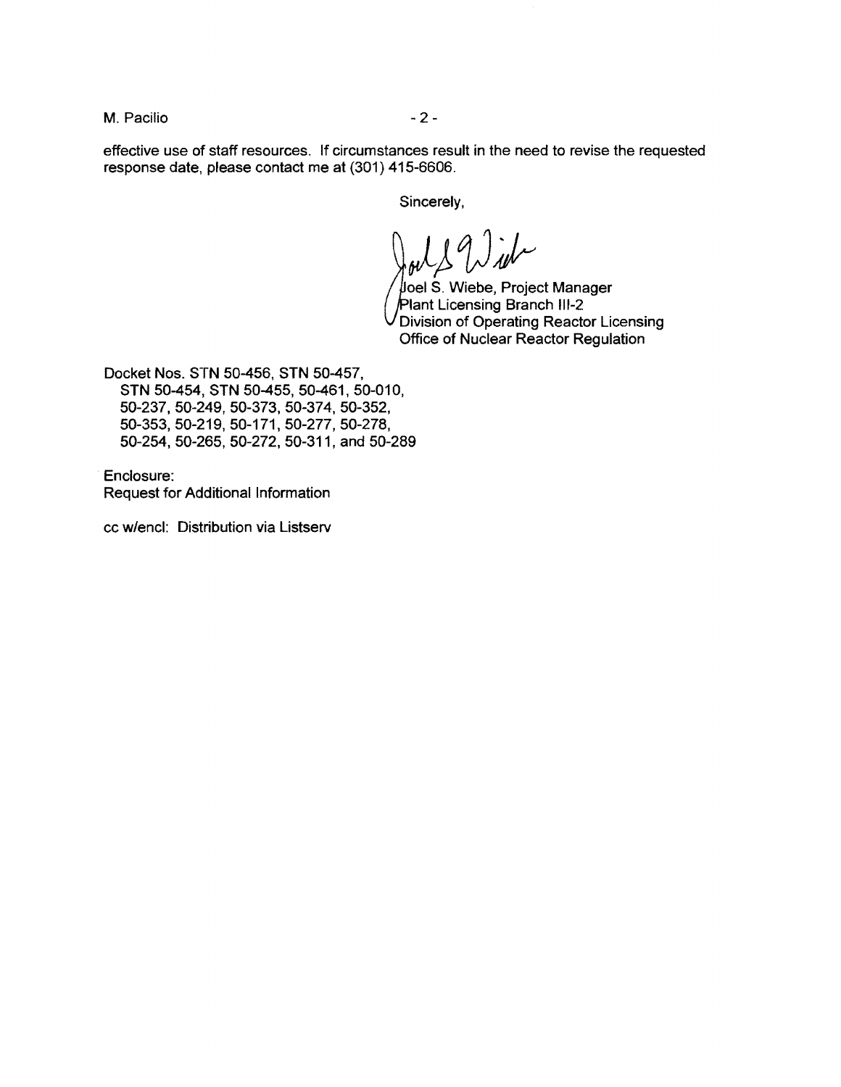M. Pacifio  $-2-$ 

effective use of staff resources. **If** circumstances result in the need to revise the requested response date, please contact me at (301) 415-6606.

Sincerely,

 $\int\!\!\!\int_{\mathcal{W}}$ 

Joel S. Wiebe, Project Manager Plant Licensing Branch III-2 Division of Operating Reactor Licensing Office of Nuclear Reactor Regulation

Docket Nos. STN 50-456, STN 50-457, STN 50-454, STN 50-455, 50-461, 50-010, 50-237,50-249,50-373,50-374,50-352, 50-353,50-219,50-171,50-277,50-278, 50-254,50-265,50-272,50-311, and 50-289

Enclosure: Request for Additional Information

cc w/encl: Distribution via Listserv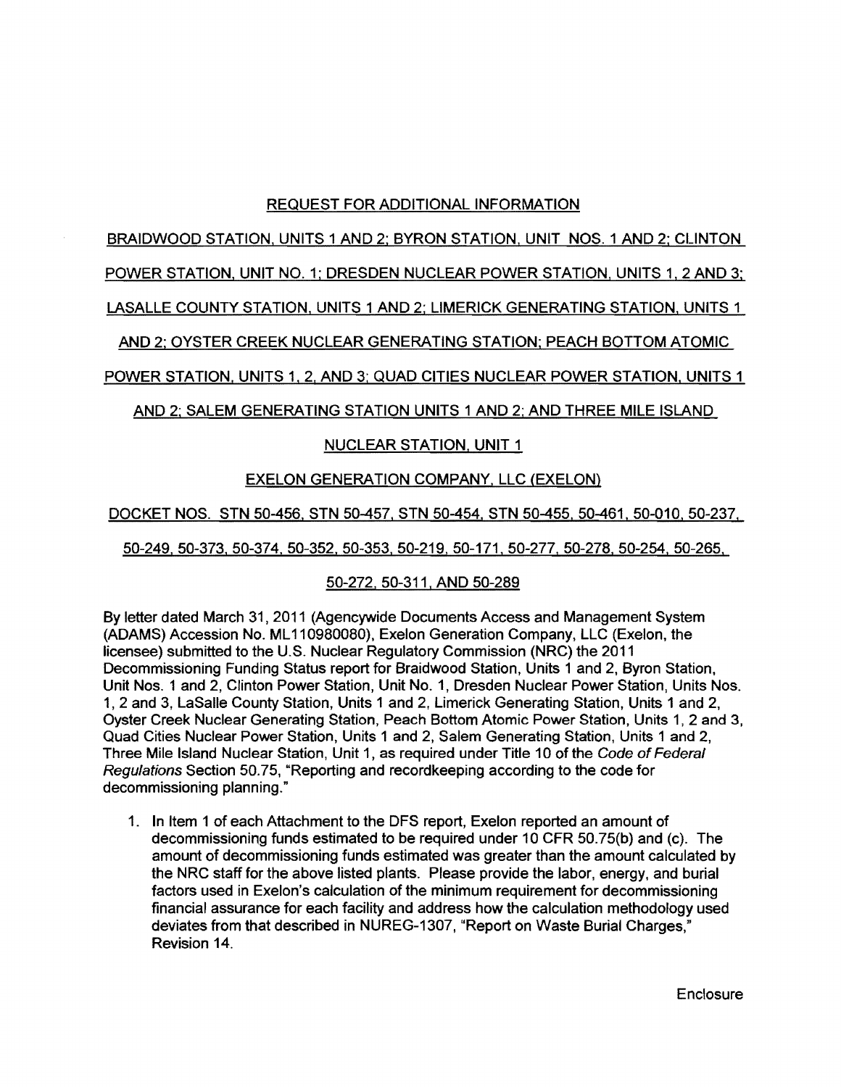# REQUEST FOR ADDITIONAL INFORMATION

BRAIDWOOD STATION, UNITS 1 AND 2: BYRON STATION, UNIT NOS. 1 AND 2; CLINTON

#### POWER STATION, UNIT NO.1: DRESDEN NUCLEAR POWER STATION, UNITS 1,2 AND 3:

LASALLE COUNTY STATION, UNITS 1 AND 2; LIMERICK GENERATING STATION, UNITS 1

AND 2: OYSTER CREEK NUCLEAR GENERATING STATION; PEACH BOTTOM ATOMIC

POWER STATION. UNITS 1, 2, AND 3: QUAD CITIES NUCLEAR POWER STATION, UNITS 1

AND 2: SALEM GENERATING STATION UNITS 1 AND 2; AND THREE MILE ISLAND

## NUCLEAR STATION, UNIT 1

## EXELON GENERATION COMPANY, LLC (EXELON)

DOCKET NOS. STN 50-456, STN 50-457, STN 50-454, STN 50-455, 50-461, 50-010, 50-237,

50-249.50-373.50-374,50-352,50-353,50-219, 50-171, 50-277, 50-278, 50-254. 50-265,

## 50-272.50-311, AND 50-289

By letter dated March 31, 2011 (Agencywide Documents Access and Management System (ADAMS) Accession No. ML 11 0980080). Exelon Generation Company, LLC (Exelon. the licensee) submitted to the U.S. Nuclear Regulatory Commission (NRC) the 2011 Decommissioning Funding Status report for Braidwood Station, Units 1 and 2, Byron Station, Unit Nos. 1 and 2, Clinton Power Station, Unit No.1, Dresden Nuclear Power Station, Units Nos. 1, 2 and 3, LaSalle County Station, Units 1 and 2, Limerick Generating Station, Units 1 and 2, Oyster Creek Nuclear Generating Station. Peach Bottom Atomic Power Station. Units 1,2 and 3. Quad Cities Nuclear Power Station, Units 1 and 2, Salem Generating Station. Units 1 and 2, Three Mile Island Nuclear Station, Unit 1, as required under Title 10 of the Code of Federal Regulations Section 50.75, "Reporting and recordkeeping according to the code for decommissioning planning."

1. In Item 1 of each Attachment to the DFS report, Exelon reported an amount of decommissioning funds estimated to be required under 10 CFR 50.75(b} and (c). The amount of decommissioning funds estimated was greater than the amount calculated by the NRC staff for the above listed plants. Please provide the labor, energy, and burial factors used in Exelon's calculation of the minimum requirement for decommissioning financial assurance for each facility and address how the calculation methodology used deviates from that described in NUREG-1307, "Report on Waste Burial Charges," Revision 14.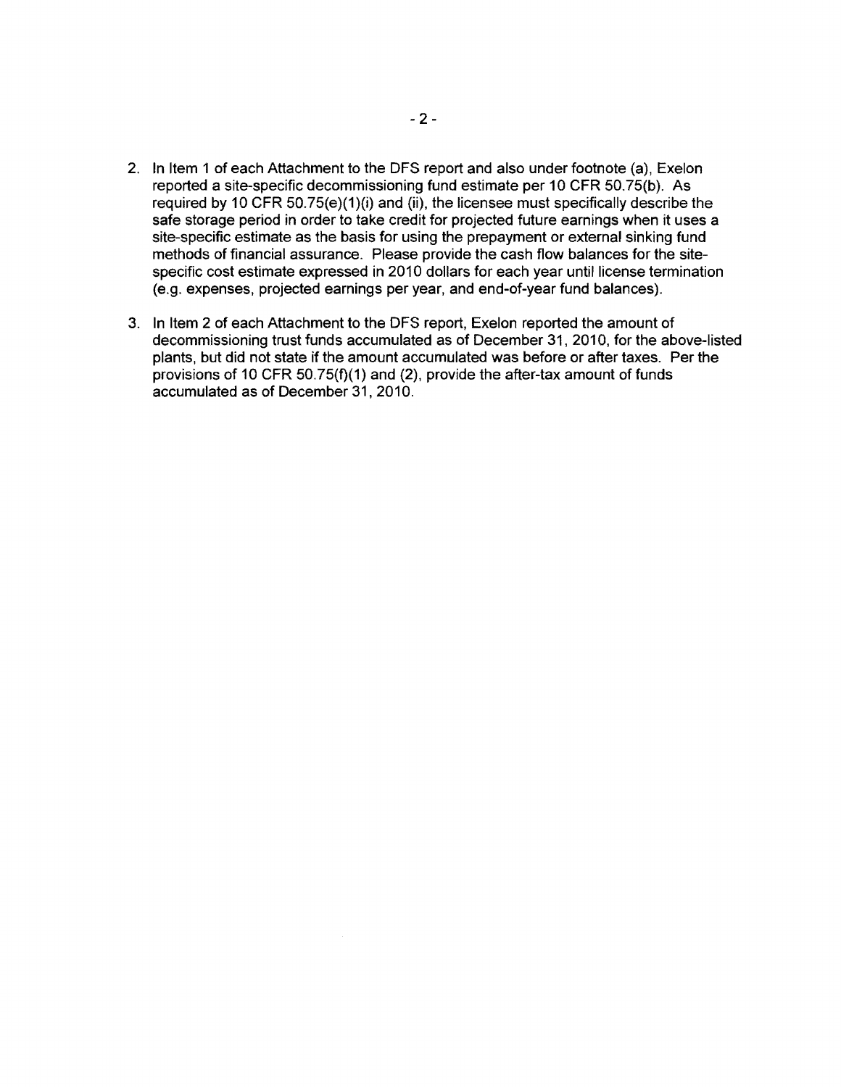- 2. In Item 1 of each Attachment to the DFS report and also under footnote (a), Exelon reported a site-specific decommissioning fund estimate per 10 CFR 50.75(b). As required by 10 CFR 50.75(e)(1)(i) and (ii), the licensee must specifically describe the safe storage period in order to take credit for projected future earnings when it uses a site-specific estimate as the basis for using the prepayment or external sinking fund methods of financial assurance. Please provide the cash flow balances for the sitespecific cost estimate expressed in 2010 dollars for each year until license termination (e.g. expenses, projected earnings per year, and end-of-year fund balances).
- 3. In Item 2 of each Attachment to the DFS report, Exelon reported the amount of decommissioning trust funds accumulated as of December 31, 2010, for the above-listed plants, but did not state if the amount accumulated was before or after taxes. Per the provisions of 10 CFR 50.75(f)(1) and (2), provide the after-tax amount of funds accumulated as of December 31, 2010.